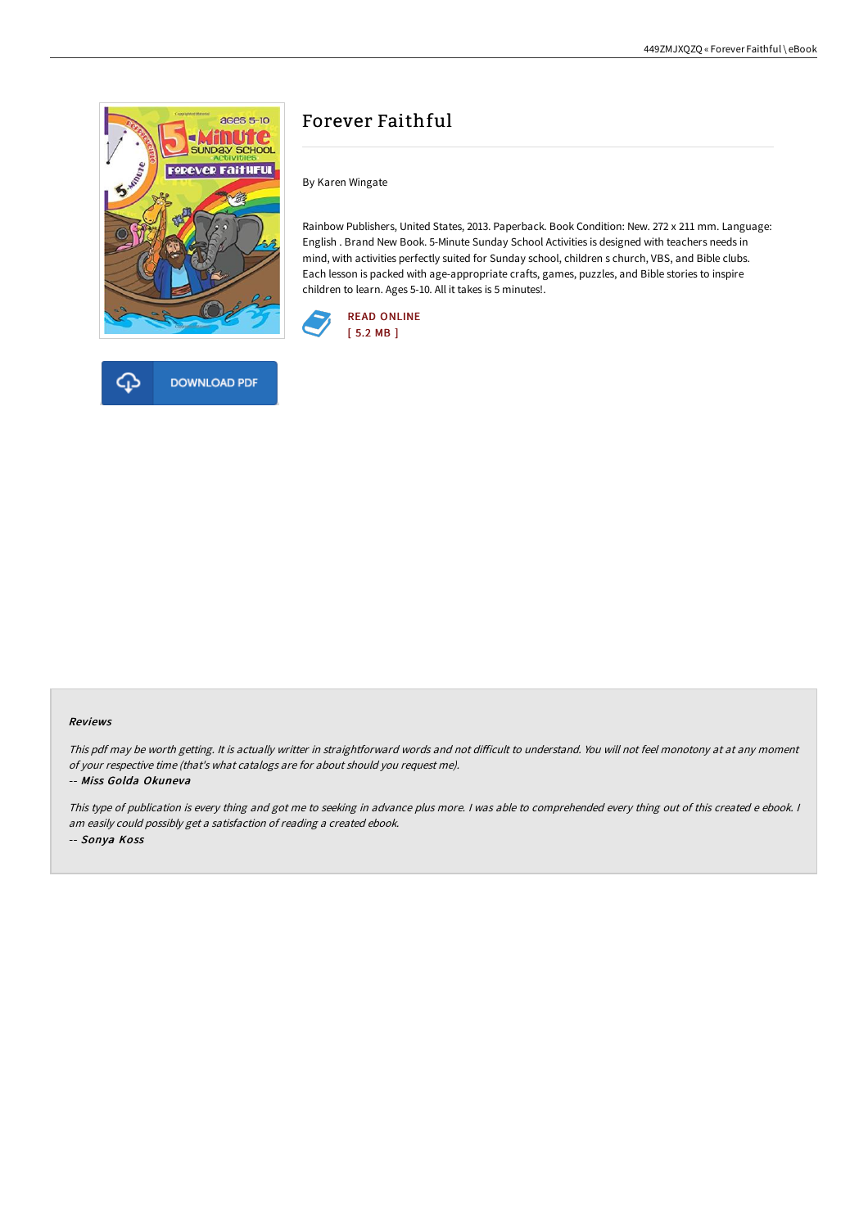

# **DOWNLOAD PDF**

## Forever Faithful

By Karen Wingate

Rainbow Publishers, United States, 2013. Paperback. Book Condition: New. 272 x 211 mm. Language: English . Brand New Book. 5-Minute Sunday School Activities is designed with teachers needs in mind, with activities perfectly suited for Sunday school, children s church, VBS, and Bible clubs. Each lesson is packed with age-appropriate crafts, games, puzzles, and Bible stories to inspire children to learn. Ages 5-10. All it takes is 5 minutes!.



#### Reviews

This pdf may be worth getting. It is actually writter in straightforward words and not difficult to understand. You will not feel monotony at at any moment of your respective time (that's what catalogs are for about should you request me).

#### -- Miss Golda Okuneva

This type of publication is every thing and got me to seeking in advance plus more. I was able to comprehended every thing out of this created e ebook. I am easily could possibly get <sup>a</sup> satisfaction of reading <sup>a</sup> created ebook. -- Sonya Koss